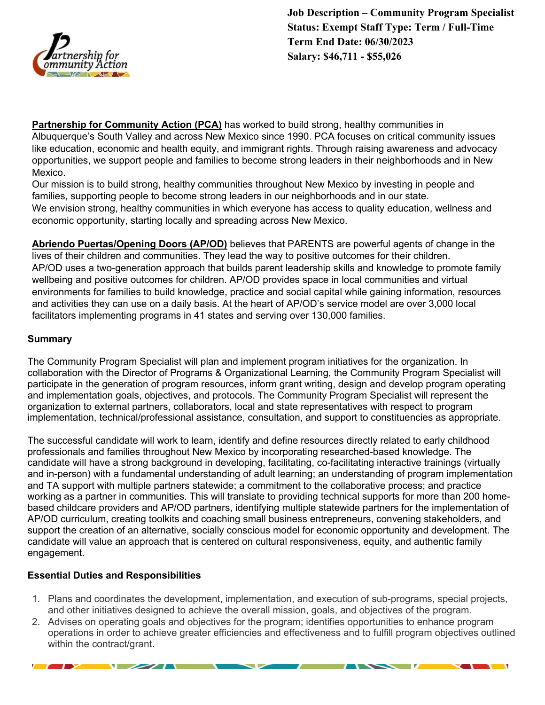

**Partnership for Community Action (PCA)** has worked to build strong, healthy communities in Albuquerque's South Valley and across New Mexico since 1990. PCA focuses on critical community issues like education, economic and health equity, and immigrant rights. Through raising awareness and advocacy opportunities, we support people and families to become strong leaders in their neighborhoods and in New Mexico.

Our mission is to build strong, healthy communities throughout New Mexico by investing in people and families, supporting people to become strong leaders in our neighborhoods and in our state. We envision strong, healthy communities in which everyone has access to quality education, wellness and economic opportunity, starting locally and spreading across New Mexico.

**Abriendo Puertas/Opening Doors (AP/OD)** believes that PARENTS are powerful agents of change in the lives of their children and communities. They lead the way to positive outcomes for their children. AP/OD uses a two-generation approach that builds parent leadership skills and knowledge to promote family wellbeing and positive outcomes for children. AP/OD provides space in local communities and virtual environments for families to build knowledge, practice and social capital while gaining information, resources and activities they can use on a daily basis. At the heart of AP/OD's service model are over 3,000 local facilitators implementing programs in 41 states and serving over 130,000 families.

#### **Summary**

The Community Program Specialist will plan and implement program initiatives for the organization. In collaboration with the Director of Programs & Organizational Learning, the Community Program Specialist will participate in the generation of program resources, inform grant writing, design and develop program operating and implementation goals, objectives, and protocols. The Community Program Specialist will represent the organization to external partners, collaborators, local and state representatives with respect to program implementation, technical/professional assistance, consultation, and support to constituencies as appropriate.

The successful candidate will work to learn, identify and define resources directly related to early childhood professionals and families throughout New Mexico by incorporating researched-based knowledge. The candidate will have a strong background in developing, facilitating, co-facilitating interactive trainings (virtually and in-person) with a fundamental understanding of adult learning; an understanding of program implementation and TA support with multiple partners statewide; a commitment to the collaborative process; and practice working as a partner in communities. This will translate to providing technical supports for more than 200 homebased childcare providers and AP/OD partners, identifying multiple statewide partners for the implementation of AP/OD curriculum, creating toolkits and coaching small business entrepreneurs, convening stakeholders, and support the creation of an alternative, socially conscious model for economic opportunity and development. The candidate will value an approach that is centered on cultural responsiveness, equity, and authentic family engagement.

# **Essential Duties and Responsibilities**

 $\sqrt{2}$ 

- 1. Plans and coordinates the development, implementation, and execution of sub-programs, special projects, and other initiatives designed to achieve the overall mission, goals, and objectives of the program.
- 2. Advises on operating goals and objectives for the program; identifies opportunities to enhance program operations in order to achieve greater efficiencies and effectiveness and to fulfill program objectives outlined within the contract/grant.

 $\checkmark$ 

 $\overline{\phantom{a}}$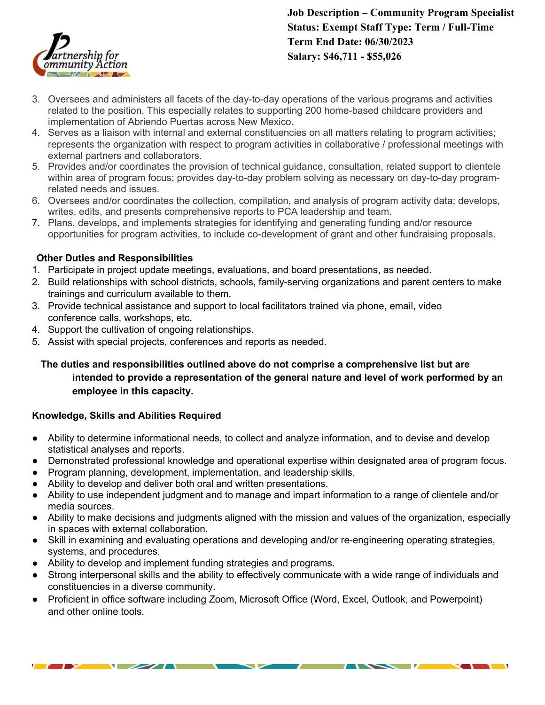

# **Job Description – Community Program Specialist Status: Exempt Staff Type: Term / Full-Time Term End Date: 06/30/2023 Salary: \$46,711 - \$55,026**

- 3. Oversees and administers all facets of the day-to-day operations of the various programs and activities related to the position. This especially relates to supporting 200 home-based childcare providers and implementation of Abriendo Puertas across New Mexico.
- 4. Serves as a liaison with internal and external constituencies on all matters relating to program activities; represents the organization with respect to program activities in collaborative / professional meetings with external partners and collaborators.
- 5. Provides and/or coordinates the provision of technical guidance, consultation, related support to clientele within area of program focus; provides day-to-day problem solving as necessary on day-to-day programrelated needs and issues.
- 6. Oversees and/or coordinates the collection, compilation, and analysis of program activity data; develops, writes, edits, and presents comprehensive reports to PCA leadership and team.
- 7. Plans, develops, and implements strategies for identifying and generating funding and/or resource opportunities for program activities, to include co-development of grant and other fundraising proposals.

# **Other Duties and Responsibilities**

- 1. Participate in project update meetings, evaluations, and board presentations, as needed.
- 2. Build relationships with school districts, schools, family-serving organizations and parent centers to make trainings and curriculum available to them.
- 3. Provide technical assistance and support to local facilitators trained via phone, email, video conference calls, workshops, etc.
- 4. Support the cultivation of ongoing relationships.
- 5. Assist with special projects, conferences and reports as needed.

# **The duties and responsibilities outlined above do not comprise a comprehensive list but are intended to provide a representation of the general nature and level of work performed by an employee in this capacity.**

# **Knowledge, Skills and Abilities Required**

- Ability to determine informational needs, to collect and analyze information, and to devise and develop statistical analyses and reports.
- Demonstrated professional knowledge and operational expertise within designated area of program focus.
- Program planning, development, implementation, and leadership skills.
- Ability to develop and deliver both oral and written presentations.
- Ability to use independent judgment and to manage and impart information to a range of clientele and/or media sources.
- Ability to make decisions and judgments aligned with the mission and values of the organization, especially in spaces with external collaboration.
- Skill in examining and evaluating operations and developing and/or re-engineering operating strategies, systems, and procedures.
- Ability to develop and implement funding strategies and programs.

 $\sqrt{2}$ 

- Strong interpersonal skills and the ability to effectively communicate with a wide range of individuals and constituencies in a diverse community.
- Proficient in office software including Zoom, Microsoft Office (Word, Excel, Outlook, and Powerpoint) and other online tools.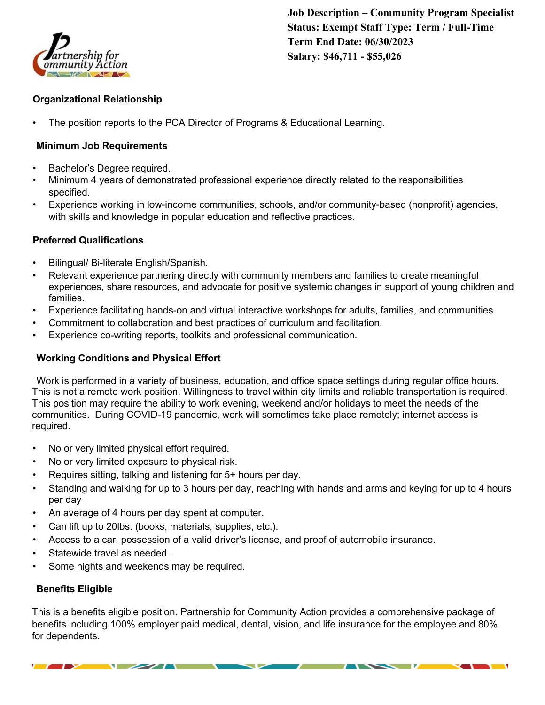

**Job Description – Community Program Specialist Status: Exempt Staff Type: Term / Full-Time Term End Date: 06/30/2023 Salary: \$46,711 - \$55,026**

#### **Organizational Relationship**

The position reports to the PCA Director of Programs & Educational Learning.

#### **Minimum Job Requirements**

- Bachelor's Degree required.
- Minimum 4 years of demonstrated professional experience directly related to the responsibilities specified.
- Experience working in low-income communities, schools, and/or community-based (nonprofit) agencies, with skills and knowledge in popular education and reflective practices.

#### **Preferred Qualifications**

- Bilingual/ Bi-literate English/Spanish.
- Relevant experience partnering directly with community members and families to create meaningful experiences, share resources, and advocate for positive systemic changes in support of young children and families.
- Experience facilitating hands-on and virtual interactive workshops for adults, families, and communities.
- Commitment to collaboration and best practices of curriculum and facilitation.
- Experience co-writing reports, toolkits and professional communication.

#### **Working Conditions and Physical Effort**

Work is performed in a variety of business, education, and office space settings during regular office hours. This is not a remote work position. Willingness to travel within city limits and reliable transportation is required. This position may require the ability to work evening, weekend and/or holidays to meet the needs of the communities. During COVID-19 pandemic, work will sometimes take place remotely; internet access is required.

- No or very limited physical effort required.
- No or very limited exposure to physical risk.
- Requires sitting, talking and listening for 5+ hours per day.
- Standing and walking for up to 3 hours per day, reaching with hands and arms and keying for up to 4 hours per day
- An average of 4 hours per day spent at computer.
- Can lift up to 20lbs. (books, materials, supplies, etc.).
- Access to a car, possession of a valid driver's license, and proof of automobile insurance.
- Statewide travel as needed.
- Some nights and weekends may be required.

 $\sqrt{2}$ 

#### **Benefits Eligible**

This is a benefits eligible position. Partnership for Community Action provides a comprehensive package of benefits including 100% employer paid medical, dental, vision, and life insurance for the employee and 80% for dependents.

◡

 $\overline{\phantom{a}}$